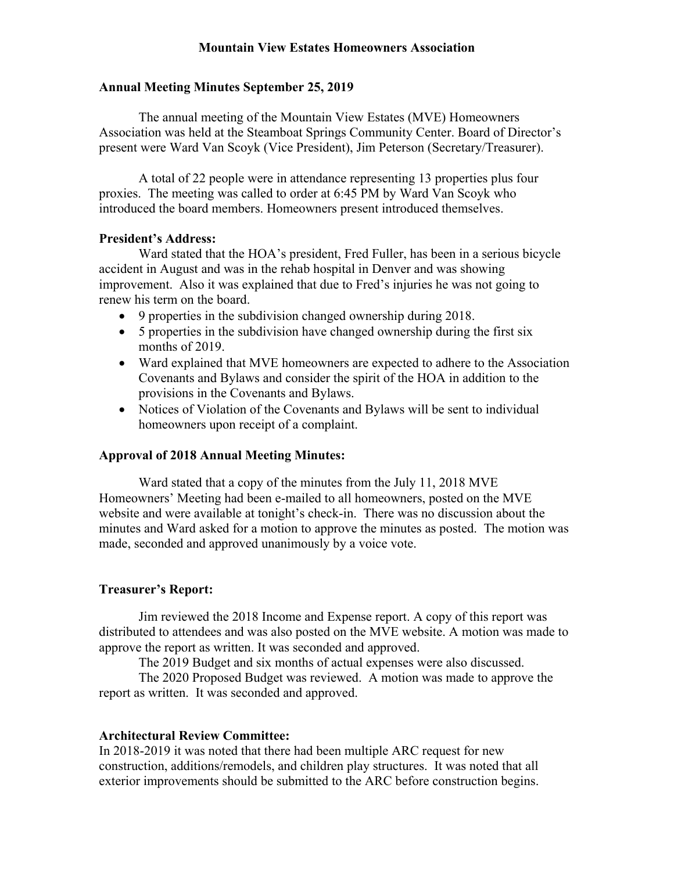# **Mountain View Estates Homeowners Association**

#### **Annual Meeting Minutes September 25, 2019**

The annual meeting of the Mountain View Estates (MVE) Homeowners Association was held at the Steamboat Springs Community Center. Board of Director's present were Ward Van Scoyk (Vice President), Jim Peterson (Secretary/Treasurer).

A total of 22 people were in attendance representing 13 properties plus four proxies. The meeting was called to order at 6:45 PM by Ward Van Scoyk who introduced the board members. Homeowners present introduced themselves.

#### **President's Address:**

 Ward stated that the HOA's president, Fred Fuller, has been in a serious bicycle accident in August and was in the rehab hospital in Denver and was showing improvement. Also it was explained that due to Fred's injuries he was not going to renew his term on the board.

- 9 properties in the subdivision changed ownership during 2018.
- 5 properties in the subdivision have changed ownership during the first six months of 2019.
- Ward explained that MVE homeowners are expected to adhere to the Association Covenants and Bylaws and consider the spirit of the HOA in addition to the provisions in the Covenants and Bylaws.
- Notices of Violation of the Covenants and Bylaws will be sent to individual homeowners upon receipt of a complaint.

### **Approval of 2018 Annual Meeting Minutes:**

Ward stated that a copy of the minutes from the July 11, 2018 MVE Homeowners' Meeting had been e-mailed to all homeowners, posted on the MVE website and were available at tonight's check-in. There was no discussion about the minutes and Ward asked for a motion to approve the minutes as posted. The motion was made, seconded and approved unanimously by a voice vote.

### **Treasurer's Report:**

Jim reviewed the 2018 Income and Expense report. A copy of this report was distributed to attendees and was also posted on the MVE website. A motion was made to approve the report as written. It was seconded and approved.

The 2019 Budget and six months of actual expenses were also discussed.

The 2020 Proposed Budget was reviewed. A motion was made to approve the report as written. It was seconded and approved.

#### **Architectural Review Committee:**

In 2018-2019 it was noted that there had been multiple ARC request for new construction, additions/remodels, and children play structures. It was noted that all exterior improvements should be submitted to the ARC before construction begins.